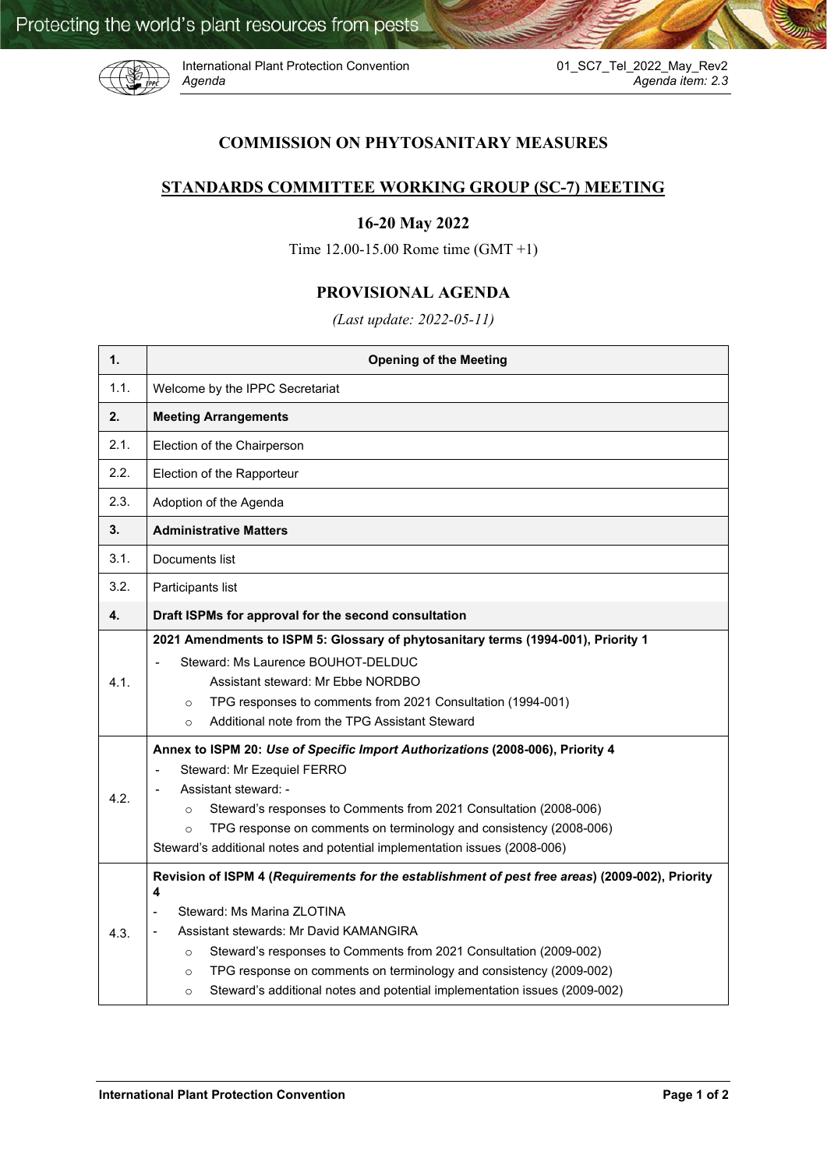

International Plant Protection Convention *Agenda Agenda item: 2.3*

## **COMMISSION ON PHYTOSANITARY MEASURES**

## **STANDARDS COMMITTEE WORKING GROUP (SC-7) MEETING**

## **16-20 May 2022**

Time 12.00-15.00 Rome time (GMT +1)

## **PROVISIONAL AGENDA**

*(Last update: 2022-05-11)*

| 1.   | <b>Opening of the Meeting</b>                                                                                                                                                                                                                                                                                                                                                                                                         |
|------|---------------------------------------------------------------------------------------------------------------------------------------------------------------------------------------------------------------------------------------------------------------------------------------------------------------------------------------------------------------------------------------------------------------------------------------|
| 1.1. | Welcome by the IPPC Secretariat                                                                                                                                                                                                                                                                                                                                                                                                       |
| 2.   | <b>Meeting Arrangements</b>                                                                                                                                                                                                                                                                                                                                                                                                           |
| 2.1. | Election of the Chairperson                                                                                                                                                                                                                                                                                                                                                                                                           |
| 2.2. | Election of the Rapporteur                                                                                                                                                                                                                                                                                                                                                                                                            |
| 2.3. | Adoption of the Agenda                                                                                                                                                                                                                                                                                                                                                                                                                |
| 3.   | <b>Administrative Matters</b>                                                                                                                                                                                                                                                                                                                                                                                                         |
| 3.1. | Documents list                                                                                                                                                                                                                                                                                                                                                                                                                        |
| 3.2. | Participants list                                                                                                                                                                                                                                                                                                                                                                                                                     |
| 4.   | Draft ISPMs for approval for the second consultation                                                                                                                                                                                                                                                                                                                                                                                  |
| 4.1. | 2021 Amendments to ISPM 5: Glossary of phytosanitary terms (1994-001), Priority 1<br>Steward: Ms Laurence BOUHOT-DELDUC<br>Assistant steward: Mr Ebbe NORDBO<br>TPG responses to comments from 2021 Consultation (1994-001)<br>$\circ$<br>Additional note from the TPG Assistant Steward<br>$\circ$                                                                                                                                   |
| 4.2. | Annex to ISPM 20: Use of Specific Import Authorizations (2008-006), Priority 4<br>Steward: Mr Ezequiel FERRO<br>$\overline{\phantom{a}}$<br>Assistant steward: -<br>Steward's responses to Comments from 2021 Consultation (2008-006)<br>$\Omega$<br>TPG response on comments on terminology and consistency (2008-006)<br>$\circ$<br>Steward's additional notes and potential implementation issues (2008-006)                       |
| 4.3. | Revision of ISPM 4 (Requirements for the establishment of pest free areas) (2009-002), Priority<br>4<br>Steward: Ms Marina ZLOTINA<br>Assistant stewards: Mr David KAMANGIRA<br>Steward's responses to Comments from 2021 Consultation (2009-002)<br>$\circ$<br>TPG response on comments on terminology and consistency (2009-002)<br>$\circ$<br>Steward's additional notes and potential implementation issues (2009-002)<br>$\circ$ |